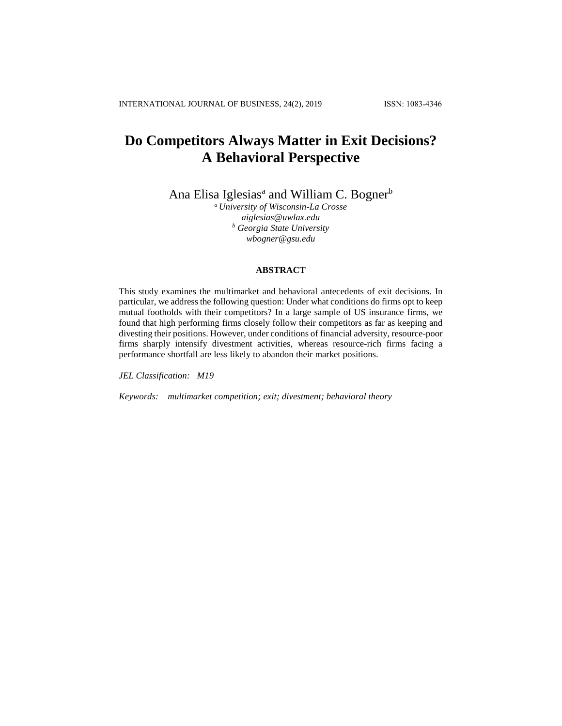# **Do Competitors Always Matter in Exit Decisions? A Behavioral Perspective**

Ana Elisa Iglesias<sup>a</sup> and William C. Bogner<sup>b</sup>

*<sup>a</sup> University of Wisconsin-La Crosse aiglesias@uwlax.edu <sup>b</sup> Georgia State University wbogner@gsu.edu*

# **ABSTRACT**

This study examines the multimarket and behavioral antecedents of exit decisions. In particular, we address the following question: Under what conditions do firms opt to keep mutual footholds with their competitors? In a large sample of US insurance firms, we found that high performing firms closely follow their competitors as far as keeping and divesting their positions. However, under conditions of financial adversity, resource-poor firms sharply intensify divestment activities, whereas resource-rich firms facing a performance shortfall are less likely to abandon their market positions.

*JEL Classification: M19*

*Keywords: multimarket competition; exit; divestment; behavioral theory*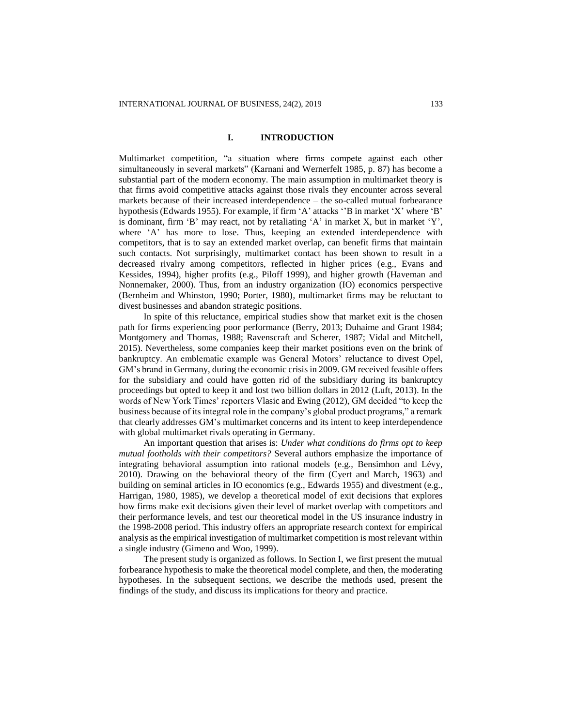## **I. INTRODUCTION**

Multimarket competition, "a situation where firms compete against each other simultaneously in several markets" (Karnani and Wernerfelt 1985, p. 87) has become a substantial part of the modern economy. The main assumption in multimarket theory is that firms avoid competitive attacks against those rivals they encounter across several markets because of their increased interdependence – the so-called mutual forbearance hypothesis (Edwards 1955). For example, if firm 'A' attacks ''B in market 'X' where 'B' is dominant, firm 'B' may react, not by retaliating 'A' in market X, but in market 'Y', where 'A' has more to lose. Thus, keeping an extended interdependence with competitors, that is to say an extended market overlap, can benefit firms that maintain such contacts. Not surprisingly, multimarket contact has been shown to result in a decreased rivalry among competitors, reflected in higher prices (e.g., Evans and Kessides, 1994), higher profits (e.g., Piloff 1999), and higher growth (Haveman and Nonnemaker, 2000). Thus, from an industry organization (IO) economics perspective (Bernheim and Whinston, 1990; Porter, 1980), multimarket firms may be reluctant to divest businesses and abandon strategic positions.

In spite of this reluctance, empirical studies show that market exit is the chosen path for firms experiencing poor performance (Berry, 2013; Duhaime and Grant 1984; Montgomery and Thomas, 1988; Ravenscraft and Scherer, 1987; Vidal and Mitchell, 2015). Nevertheless, some companies keep their market positions even on the brink of bankruptcy. An emblematic example was General Motors' reluctance to divest Opel, GM's brand in Germany, during the economic crisis in 2009. GM received feasible offers for the subsidiary and could have gotten rid of the subsidiary during its bankruptcy proceedings but opted to keep it and lost two billion dollars in 2012 (Luft, 2013). In the words of New York Times' reporters Vlasic and Ewing (2012), GM decided "to keep the business because of its integral role in the company's global product programs," a remark that clearly addresses GM's multimarket concerns and its intent to keep interdependence with global multimarket rivals operating in Germany.

An important question that arises is: *Under what conditions do firms opt to keep mutual footholds with their competitors?* Several authors emphasize the importance of integrating behavioral assumption into rational models (e.g., Bensimhon and Lévy, 2010). Drawing on the behavioral theory of the firm (Cyert and March, 1963) and building on seminal articles in IO economics (e.g., Edwards 1955) and divestment (e.g., Harrigan, 1980, 1985), we develop a theoretical model of exit decisions that explores how firms make exit decisions given their level of market overlap with competitors and their performance levels, and test our theoretical model in the US insurance industry in the 1998-2008 period. This industry offers an appropriate research context for empirical analysis as the empirical investigation of multimarket competition is most relevant within a single industry (Gimeno and Woo, 1999).

The present study is organized as follows. In Section I, we first present the mutual forbearance hypothesis to make the theoretical model complete, and then, the moderating hypotheses. In the subsequent sections, we describe the methods used, present the findings of the study, and discuss its implications for theory and practice.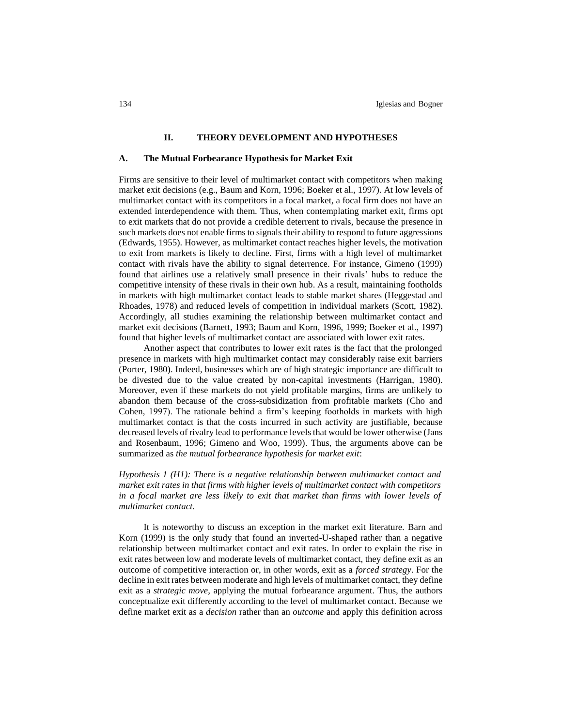## **II. THEORY DEVELOPMENT AND HYPOTHESES**

#### **A. The Mutual Forbearance Hypothesis for Market Exit**

Firms are sensitive to their level of multimarket contact with competitors when making market exit decisions (e.g., Baum and Korn, 1996; Boeker et al., 1997). At low levels of multimarket contact with its competitors in a focal market, a focal firm does not have an extended interdependence with them. Thus, when contemplating market exit, firms opt to exit markets that do not provide a credible deterrent to rivals, because the presence in such markets does not enable firms to signals their ability to respond to future aggressions (Edwards, 1955). However, as multimarket contact reaches higher levels, the motivation to exit from markets is likely to decline. First, firms with a high level of multimarket contact with rivals have the ability to signal deterrence. For instance, Gimeno (1999) found that airlines use a relatively small presence in their rivals' hubs to reduce the competitive intensity of these rivals in their own hub. As a result, maintaining footholds in markets with high multimarket contact leads to stable market shares (Heggestad and Rhoades, 1978) and reduced levels of competition in individual markets (Scott, 1982). Accordingly, all studies examining the relationship between multimarket contact and market exit decisions (Barnett, 1993; Baum and Korn, 1996, 1999; Boeker et al., 1997) found that higher levels of multimarket contact are associated with lower exit rates.

Another aspect that contributes to lower exit rates is the fact that the prolonged presence in markets with high multimarket contact may considerably raise exit barriers (Porter, 1980). Indeed, businesses which are of high strategic importance are difficult to be divested due to the value created by non-capital investments (Harrigan, 1980). Moreover, even if these markets do not yield profitable margins, firms are unlikely to abandon them because of the cross-subsidization from profitable markets (Cho and Cohen, 1997). The rationale behind a firm's keeping footholds in markets with high multimarket contact is that the costs incurred in such activity are justifiable, because decreased levels of rivalry lead to performance levels that would be lower otherwise (Jans and Rosenbaum, 1996; Gimeno and Woo, 1999). Thus, the arguments above can be summarized as *the mutual forbearance hypothesis for market exit*:

*Hypothesis 1 (H1): There is a negative relationship between multimarket contact and market exit rates in that firms with higher levels of multimarket contact with competitors in a focal market are less likely to exit that market than firms with lower levels of multimarket contact.*

It is noteworthy to discuss an exception in the market exit literature. Barn and Korn (1999) is the only study that found an inverted-U-shaped rather than a negative relationship between multimarket contact and exit rates. In order to explain the rise in exit rates between low and moderate levels of multimarket contact, they define exit as an outcome of competitive interaction or, in other words, exit as a *forced strategy*. For the decline in exit rates between moderate and high levels of multimarket contact, they define exit as a *strategic move*, applying the mutual forbearance argument. Thus, the authors conceptualize exit differently according to the level of multimarket contact. Because we define market exit as a *decision* rather than an *outcome* and apply this definition across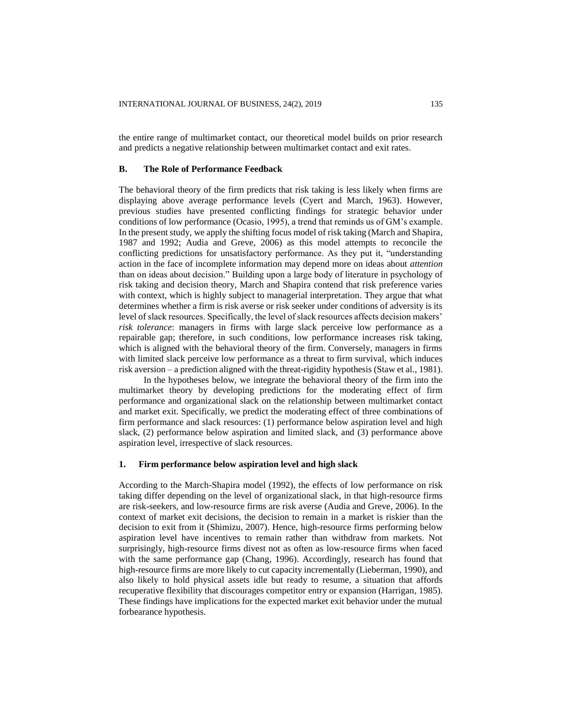the entire range of multimarket contact, our theoretical model builds on prior research and predicts a negative relationship between multimarket contact and exit rates.

# **B. The Role of Performance Feedback**

The behavioral theory of the firm predicts that risk taking is less likely when firms are displaying above average performance levels (Cyert and March, 1963). However, previous studies have presented conflicting findings for strategic behavior under conditions of low performance (Ocasio, 1995), a trend that reminds us of GM's example. In the present study, we apply the shifting focus model of risk taking (March and Shapira, 1987 and 1992; Audia and Greve, 2006) as this model attempts to reconcile the conflicting predictions for unsatisfactory performance. As they put it, "understanding action in the face of incomplete information may depend more on ideas about *attention* than on ideas about decision." Building upon a large body of literature in psychology of risk taking and decision theory, March and Shapira contend that risk preference varies with context, which is highly subject to managerial interpretation. They argue that what determines whether a firm is risk averse or risk seeker under conditions of adversity is its level of slack resources. Specifically, the level of slack resources affects decision makers' *risk tolerance*: managers in firms with large slack perceive low performance as a repairable gap; therefore, in such conditions, low performance increases risk taking, which is aligned with the behavioral theory of the firm. Conversely, managers in firms with limited slack perceive low performance as a threat to firm survival, which induces risk aversion – a prediction aligned with the threat-rigidity hypothesis (Staw et al., 1981).

In the hypotheses below, we integrate the behavioral theory of the firm into the multimarket theory by developing predictions for the moderating effect of firm performance and organizational slack on the relationship between multimarket contact and market exit. Specifically, we predict the moderating effect of three combinations of firm performance and slack resources: (1) performance below aspiration level and high slack, (2) performance below aspiration and limited slack, and (3) performance above aspiration level, irrespective of slack resources.

## **1. Firm performance below aspiration level and high slack**

According to the March-Shapira model (1992), the effects of low performance on risk taking differ depending on the level of organizational slack, in that high-resource firms are risk-seekers, and low-resource firms are risk averse (Audia and Greve, 2006). In the context of market exit decisions, the decision to remain in a market is riskier than the decision to exit from it (Shimizu, 2007). Hence, high-resource firms performing below aspiration level have incentives to remain rather than withdraw from markets. Not surprisingly, high-resource firms divest not as often as low-resource firms when faced with the same performance gap (Chang, 1996). Accordingly, research has found that high-resource firms are more likely to cut capacity incrementally (Lieberman, 1990), and also likely to hold physical assets idle but ready to resume, a situation that affords recuperative flexibility that discourages competitor entry or expansion (Harrigan, 1985). These findings have implications for the expected market exit behavior under the mutual forbearance hypothesis.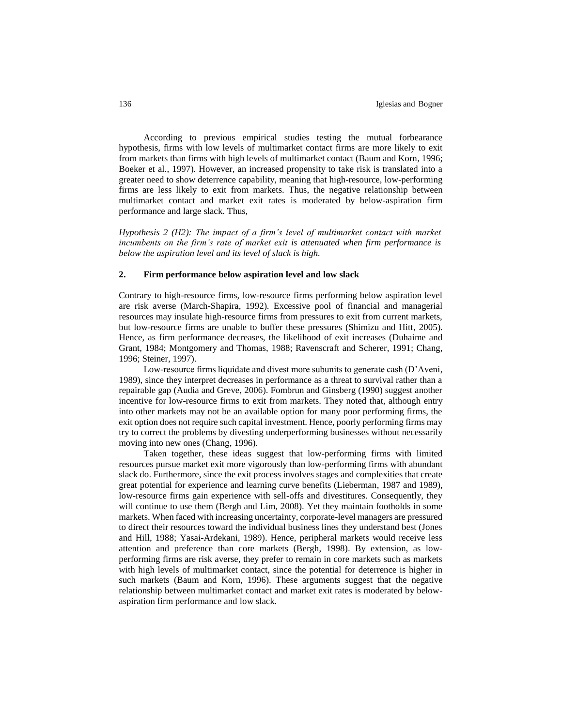According to previous empirical studies testing the mutual forbearance hypothesis, firms with low levels of multimarket contact firms are more likely to exit from markets than firms with high levels of multimarket contact (Baum and Korn, 1996; Boeker et al., 1997). However, an increased propensity to take risk is translated into a greater need to show deterrence capability, meaning that high-resource, low-performing firms are less likely to exit from markets. Thus, the negative relationship between multimarket contact and market exit rates is moderated by below-aspiration firm performance and large slack. Thus,

*Hypothesis 2 (H2): The impact of a firm's level of multimarket contact with market incumbents on the firm's rate of market exit is attenuated when firm performance is below the aspiration level and its level of slack is high.*

# **2. Firm performance below aspiration level and low slack**

Contrary to high-resource firms, low-resource firms performing below aspiration level are risk averse (March-Shapira, 1992). Excessive pool of financial and managerial resources may insulate high-resource firms from pressures to exit from current markets, but low-resource firms are unable to buffer these pressures (Shimizu and Hitt, 2005). Hence, as firm performance decreases, the likelihood of exit increases (Duhaime and Grant, 1984; Montgomery and Thomas, 1988; Ravenscraft and Scherer, 1991; Chang, 1996; Steiner, 1997).

Low-resource firms liquidate and divest more subunits to generate cash (D'Aveni, 1989), since they interpret decreases in performance as a threat to survival rather than a repairable gap (Audia and Greve, 2006). Fombrun and Ginsberg (1990) suggest another incentive for low-resource firms to exit from markets. They noted that, although entry into other markets may not be an available option for many poor performing firms, the exit option does not require such capital investment. Hence, poorly performing firms may try to correct the problems by divesting underperforming businesses without necessarily moving into new ones (Chang, 1996).

Taken together, these ideas suggest that low-performing firms with limited resources pursue market exit more vigorously than low-performing firms with abundant slack do. Furthermore, since the exit process involves stages and complexities that create great potential for experience and learning curve benefits (Lieberman, 1987 and 1989), low-resource firms gain experience with sell-offs and divestitures. Consequently, they will continue to use them (Bergh and Lim, 2008). Yet they maintain footholds in some markets. When faced with increasing uncertainty, corporate-level managers are pressured to direct their resources toward the individual business lines they understand best (Jones and Hill, 1988; Yasai-Ardekani, 1989). Hence, peripheral markets would receive less attention and preference than core markets (Bergh, 1998). By extension, as lowperforming firms are risk averse, they prefer to remain in core markets such as markets with high levels of multimarket contact, since the potential for deterrence is higher in such markets (Baum and Korn, 1996). These arguments suggest that the negative relationship between multimarket contact and market exit rates is moderated by belowaspiration firm performance and low slack.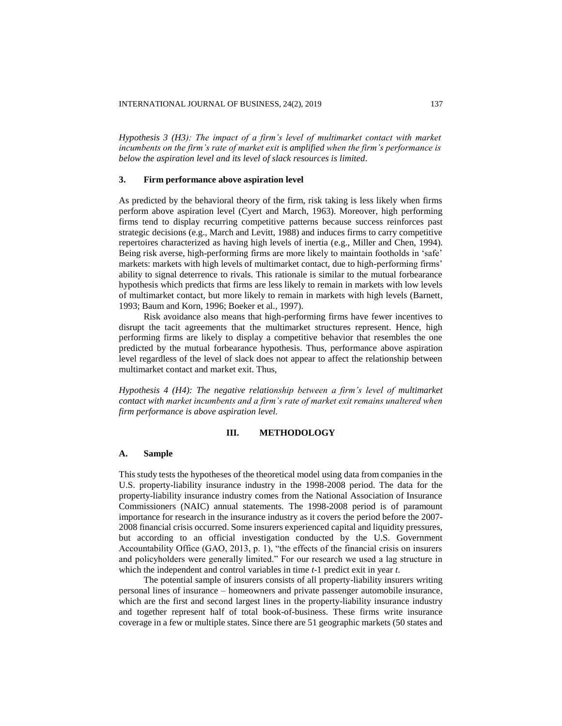*Hypothesis 3 (H3): The impact of a firm's level of multimarket contact with market incumbents on the firm's rate of market exit is amplified when the firm's performance is below the aspiration level and its level of slack resources is limited.*

# **3. Firm performance above aspiration level**

As predicted by the behavioral theory of the firm, risk taking is less likely when firms perform above aspiration level (Cyert and March, 1963). Moreover, high performing firms tend to display recurring competitive patterns because success reinforces past strategic decisions (e.g., March and Levitt, 1988) and induces firms to carry competitive repertoires characterized as having high levels of inertia (e.g., Miller and Chen, 1994). Being risk averse, high-performing firms are more likely to maintain footholds in 'safe' markets: markets with high levels of multimarket contact, due to high-performing firms' ability to signal deterrence to rivals. This rationale is similar to the mutual forbearance hypothesis which predicts that firms are less likely to remain in markets with low levels of multimarket contact, but more likely to remain in markets with high levels (Barnett, 1993; Baum and Korn, 1996; Boeker et al., 1997).

Risk avoidance also means that high-performing firms have fewer incentives to disrupt the tacit agreements that the multimarket structures represent. Hence, high performing firms are likely to display a competitive behavior that resembles the one predicted by the mutual forbearance hypothesis. Thus, performance above aspiration level regardless of the level of slack does not appear to affect the relationship between multimarket contact and market exit. Thus,

*Hypothesis 4 (H4): The negative relationship between a firm's level of multimarket contact with market incumbents and a firm's rate of market exit remains unaltered when firm performance is above aspiration level.*

# **III. METHODOLOGY**

#### **A. Sample**

This study tests the hypotheses of the theoretical model using data from companies in the U.S. property-liability insurance industry in the 1998-2008 period. The data for the property-liability insurance industry comes from the National Association of Insurance Commissioners (NAIC) annual statements. The 1998-2008 period is of paramount importance for research in the insurance industry as it covers the period before the 2007- 2008 financial crisis occurred. Some insurers experienced capital and liquidity pressures, but according to an official investigation conducted by the U.S. Government Accountability Office (GAO, 2013, p. 1), "the effects of the financial crisis on insurers and policyholders were generally limited." For our research we used a lag structure in which the independent and control variables in time *t*-1 predict exit in year *t*.

The potential sample of insurers consists of all property-liability insurers writing personal lines of insurance – homeowners and private passenger automobile insurance, which are the first and second largest lines in the property-liability insurance industry and together represent half of total book-of-business. These firms write insurance coverage in a few or multiple states. Since there are 51 geographic markets (50 states and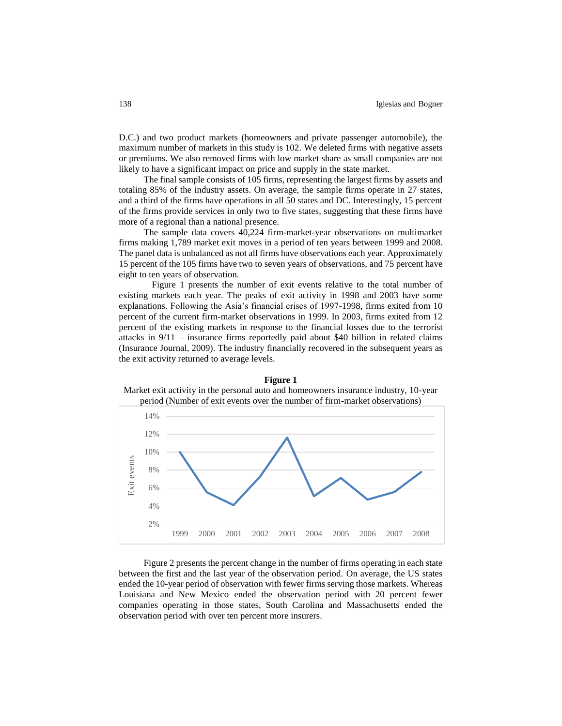D.C.) and two product markets (homeowners and private passenger automobile), the maximum number of markets in this study is 102. We deleted firms with negative assets or premiums. We also removed firms with low market share as small companies are not likely to have a significant impact on price and supply in the state market.

The final sample consists of 105 firms, representing the largest firms by assets and totaling 85% of the industry assets. On average, the sample firms operate in 27 states, and a third of the firms have operations in all 50 states and DC. Interestingly, 15 percent of the firms provide services in only two to five states, suggesting that these firms have more of a regional than a national presence.

The sample data covers 40,224 firm-market-year observations on multimarket firms making 1,789 market exit moves in a period of ten years between 1999 and 2008. The panel data is unbalanced as not all firms have observations each year. Approximately 15 percent of the 105 firms have two to seven years of observations, and 75 percent have eight to ten years of observation.

Figure 1 presents the number of exit events relative to the total number of existing markets each year. The peaks of exit activity in 1998 and 2003 have some explanations. Following the Asia's financial crises of 1997-1998, firms exited from 10 percent of the current firm-market observations in 1999. In 2003, firms exited from 12 percent of the existing markets in response to the financial losses due to the terrorist attacks in 9/11 – insurance firms reportedly paid about \$40 billion in related claims (Insurance Journal, 2009). The industry financially recovered in the subsequent years as the exit activity returned to average levels.



**Figure 1** Market exit activity in the personal auto and homeowners insurance industry, 10-year

Figure 2 presents the percent change in the number of firms operating in each state between the first and the last year of the observation period. On average, the US states ended the 10-year period of observation with fewer firms serving those markets. Whereas Louisiana and New Mexico ended the observation period with 20 percent fewer companies operating in those states, South Carolina and Massachusetts ended the observation period with over ten percent more insurers.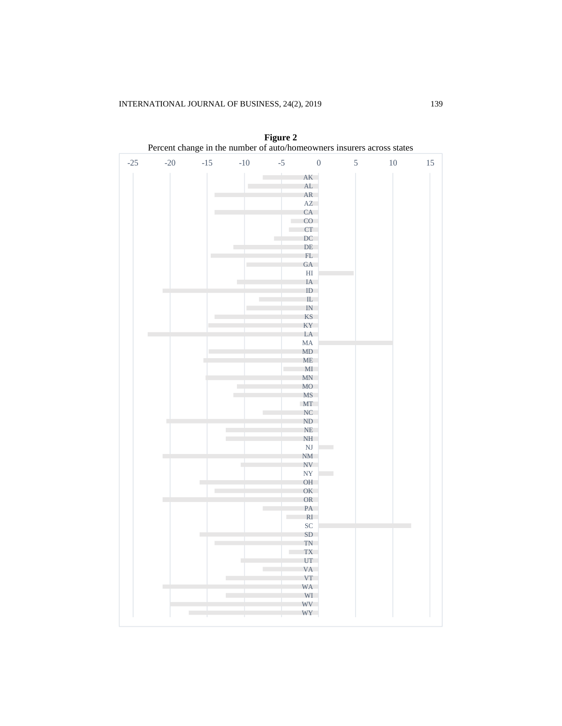| $-25$<br>$-20$<br>$-15$<br>$\mbox{-}10$<br>$-5$<br>$\boldsymbol{0}$<br>5<br>$10\,$<br>$15\,$<br>AK<br>AL<br>AR<br>П<br>$\mathbf{A}\mathbf{Z}$<br>CA<br>п<br>CO<br>a a<br>CT<br>DC<br>I.<br>DE<br>r<br>FL<br>GA<br>$\mathop{\rm HI}\nolimits$<br>IA<br>п<br>ID<br>$\overline{\phantom{a}}$<br>IL<br>IN<br>KS<br>ш<br>KY<br>LA<br>MA<br>MD<br>ME<br>MI<br><b>MN</b><br>MO<br>L.<br><b>MS</b><br>$\mathbb{R}^2$<br>MT<br>NC<br>ND<br>П<br>NE<br>T.<br>$\rm NH$<br>×<br>$\overline{\text{NJ}}$<br>NM<br>NV<br>NY<br>OH<br>п<br>OK<br>П<br>OR<br>PA<br>RI<br>$\sim 100$<br>SC<br>SD<br>г<br>TN<br>П<br>TX<br>UT<br>VA<br>L.<br><b>VT</b><br>П<br>WA<br><b>COL</b><br>WI<br>П<br>WV<br>WY<br>г |  |  |  | Telent enange in the number of auto/noncowners insurers across states |  |
|------------------------------------------------------------------------------------------------------------------------------------------------------------------------------------------------------------------------------------------------------------------------------------------------------------------------------------------------------------------------------------------------------------------------------------------------------------------------------------------------------------------------------------------------------------------------------------------------------------------------------------------------------------------------------------------|--|--|--|-----------------------------------------------------------------------|--|
|                                                                                                                                                                                                                                                                                                                                                                                                                                                                                                                                                                                                                                                                                          |  |  |  |                                                                       |  |
|                                                                                                                                                                                                                                                                                                                                                                                                                                                                                                                                                                                                                                                                                          |  |  |  |                                                                       |  |
|                                                                                                                                                                                                                                                                                                                                                                                                                                                                                                                                                                                                                                                                                          |  |  |  |                                                                       |  |
|                                                                                                                                                                                                                                                                                                                                                                                                                                                                                                                                                                                                                                                                                          |  |  |  |                                                                       |  |
|                                                                                                                                                                                                                                                                                                                                                                                                                                                                                                                                                                                                                                                                                          |  |  |  |                                                                       |  |
|                                                                                                                                                                                                                                                                                                                                                                                                                                                                                                                                                                                                                                                                                          |  |  |  |                                                                       |  |
|                                                                                                                                                                                                                                                                                                                                                                                                                                                                                                                                                                                                                                                                                          |  |  |  |                                                                       |  |
|                                                                                                                                                                                                                                                                                                                                                                                                                                                                                                                                                                                                                                                                                          |  |  |  |                                                                       |  |
|                                                                                                                                                                                                                                                                                                                                                                                                                                                                                                                                                                                                                                                                                          |  |  |  |                                                                       |  |
|                                                                                                                                                                                                                                                                                                                                                                                                                                                                                                                                                                                                                                                                                          |  |  |  |                                                                       |  |
|                                                                                                                                                                                                                                                                                                                                                                                                                                                                                                                                                                                                                                                                                          |  |  |  |                                                                       |  |
|                                                                                                                                                                                                                                                                                                                                                                                                                                                                                                                                                                                                                                                                                          |  |  |  |                                                                       |  |
|                                                                                                                                                                                                                                                                                                                                                                                                                                                                                                                                                                                                                                                                                          |  |  |  |                                                                       |  |
|                                                                                                                                                                                                                                                                                                                                                                                                                                                                                                                                                                                                                                                                                          |  |  |  |                                                                       |  |
|                                                                                                                                                                                                                                                                                                                                                                                                                                                                                                                                                                                                                                                                                          |  |  |  |                                                                       |  |
|                                                                                                                                                                                                                                                                                                                                                                                                                                                                                                                                                                                                                                                                                          |  |  |  |                                                                       |  |
|                                                                                                                                                                                                                                                                                                                                                                                                                                                                                                                                                                                                                                                                                          |  |  |  |                                                                       |  |
|                                                                                                                                                                                                                                                                                                                                                                                                                                                                                                                                                                                                                                                                                          |  |  |  |                                                                       |  |
|                                                                                                                                                                                                                                                                                                                                                                                                                                                                                                                                                                                                                                                                                          |  |  |  |                                                                       |  |
|                                                                                                                                                                                                                                                                                                                                                                                                                                                                                                                                                                                                                                                                                          |  |  |  |                                                                       |  |
|                                                                                                                                                                                                                                                                                                                                                                                                                                                                                                                                                                                                                                                                                          |  |  |  |                                                                       |  |
|                                                                                                                                                                                                                                                                                                                                                                                                                                                                                                                                                                                                                                                                                          |  |  |  |                                                                       |  |
|                                                                                                                                                                                                                                                                                                                                                                                                                                                                                                                                                                                                                                                                                          |  |  |  |                                                                       |  |
|                                                                                                                                                                                                                                                                                                                                                                                                                                                                                                                                                                                                                                                                                          |  |  |  |                                                                       |  |
|                                                                                                                                                                                                                                                                                                                                                                                                                                                                                                                                                                                                                                                                                          |  |  |  |                                                                       |  |
|                                                                                                                                                                                                                                                                                                                                                                                                                                                                                                                                                                                                                                                                                          |  |  |  |                                                                       |  |
|                                                                                                                                                                                                                                                                                                                                                                                                                                                                                                                                                                                                                                                                                          |  |  |  |                                                                       |  |
|                                                                                                                                                                                                                                                                                                                                                                                                                                                                                                                                                                                                                                                                                          |  |  |  |                                                                       |  |
|                                                                                                                                                                                                                                                                                                                                                                                                                                                                                                                                                                                                                                                                                          |  |  |  |                                                                       |  |
|                                                                                                                                                                                                                                                                                                                                                                                                                                                                                                                                                                                                                                                                                          |  |  |  |                                                                       |  |
|                                                                                                                                                                                                                                                                                                                                                                                                                                                                                                                                                                                                                                                                                          |  |  |  |                                                                       |  |
|                                                                                                                                                                                                                                                                                                                                                                                                                                                                                                                                                                                                                                                                                          |  |  |  |                                                                       |  |
|                                                                                                                                                                                                                                                                                                                                                                                                                                                                                                                                                                                                                                                                                          |  |  |  |                                                                       |  |
|                                                                                                                                                                                                                                                                                                                                                                                                                                                                                                                                                                                                                                                                                          |  |  |  |                                                                       |  |
|                                                                                                                                                                                                                                                                                                                                                                                                                                                                                                                                                                                                                                                                                          |  |  |  |                                                                       |  |
|                                                                                                                                                                                                                                                                                                                                                                                                                                                                                                                                                                                                                                                                                          |  |  |  |                                                                       |  |
|                                                                                                                                                                                                                                                                                                                                                                                                                                                                                                                                                                                                                                                                                          |  |  |  |                                                                       |  |
|                                                                                                                                                                                                                                                                                                                                                                                                                                                                                                                                                                                                                                                                                          |  |  |  |                                                                       |  |
|                                                                                                                                                                                                                                                                                                                                                                                                                                                                                                                                                                                                                                                                                          |  |  |  |                                                                       |  |
|                                                                                                                                                                                                                                                                                                                                                                                                                                                                                                                                                                                                                                                                                          |  |  |  |                                                                       |  |
|                                                                                                                                                                                                                                                                                                                                                                                                                                                                                                                                                                                                                                                                                          |  |  |  |                                                                       |  |
|                                                                                                                                                                                                                                                                                                                                                                                                                                                                                                                                                                                                                                                                                          |  |  |  |                                                                       |  |
|                                                                                                                                                                                                                                                                                                                                                                                                                                                                                                                                                                                                                                                                                          |  |  |  |                                                                       |  |
|                                                                                                                                                                                                                                                                                                                                                                                                                                                                                                                                                                                                                                                                                          |  |  |  |                                                                       |  |
|                                                                                                                                                                                                                                                                                                                                                                                                                                                                                                                                                                                                                                                                                          |  |  |  |                                                                       |  |
|                                                                                                                                                                                                                                                                                                                                                                                                                                                                                                                                                                                                                                                                                          |  |  |  |                                                                       |  |
|                                                                                                                                                                                                                                                                                                                                                                                                                                                                                                                                                                                                                                                                                          |  |  |  |                                                                       |  |
|                                                                                                                                                                                                                                                                                                                                                                                                                                                                                                                                                                                                                                                                                          |  |  |  |                                                                       |  |
|                                                                                                                                                                                                                                                                                                                                                                                                                                                                                                                                                                                                                                                                                          |  |  |  |                                                                       |  |
|                                                                                                                                                                                                                                                                                                                                                                                                                                                                                                                                                                                                                                                                                          |  |  |  |                                                                       |  |
|                                                                                                                                                                                                                                                                                                                                                                                                                                                                                                                                                                                                                                                                                          |  |  |  |                                                                       |  |
|                                                                                                                                                                                                                                                                                                                                                                                                                                                                                                                                                                                                                                                                                          |  |  |  |                                                                       |  |
|                                                                                                                                                                                                                                                                                                                                                                                                                                                                                                                                                                                                                                                                                          |  |  |  |                                                                       |  |
|                                                                                                                                                                                                                                                                                                                                                                                                                                                                                                                                                                                                                                                                                          |  |  |  |                                                                       |  |

**Figure 2**  Percent change in the number of auto/homeowners insurers across states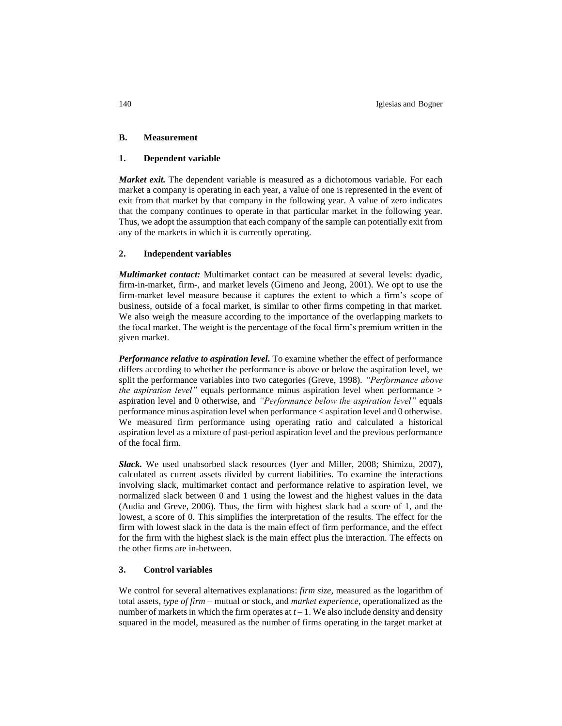# **B. Measurement**

# **1. Dependent variable**

*Market exit.* The dependent variable is measured as a dichotomous variable. For each market a company is operating in each year, a value of one is represented in the event of exit from that market by that company in the following year. A value of zero indicates that the company continues to operate in that particular market in the following year. Thus, we adopt the assumption that each company of the sample can potentially exit from any of the markets in which it is currently operating.

# **2. Independent variables**

*Multimarket contact:* Multimarket contact can be measured at several levels: dyadic, firm-in-market, firm-, and market levels (Gimeno and Jeong, 2001). We opt to use the firm-market level measure because it captures the extent to which a firm's scope of business, outside of a focal market, is similar to other firms competing in that market. We also weigh the measure according to the importance of the overlapping markets to the focal market. The weight is the percentage of the focal firm's premium written in the given market.

*Performance relative to aspiration level.* To examine whether the effect of performance differs according to whether the performance is above or below the aspiration level, we split the performance variables into two categories (Greve, 1998). *"Performance above the aspiration level"* equals performance minus aspiration level when performance > aspiration level and 0 otherwise, and *"Performance below the aspiration level"* equals performance minus aspiration level when performance < aspiration level and 0 otherwise. We measured firm performance using operating ratio and calculated a historical aspiration level as a mixture of past-period aspiration level and the previous performance of the focal firm.

*Slack.* We used unabsorbed slack resources (Iyer and Miller, 2008; Shimizu, 2007), calculated as current assets divided by current liabilities. To examine the interactions involving slack, multimarket contact and performance relative to aspiration level, we normalized slack between 0 and 1 using the lowest and the highest values in the data (Audia and Greve, 2006). Thus, the firm with highest slack had a score of 1, and the lowest, a score of 0. This simplifies the interpretation of the results. The effect for the firm with lowest slack in the data is the main effect of firm performance, and the effect for the firm with the highest slack is the main effect plus the interaction. The effects on the other firms are in-between.

# **3. Control variables**

We control for several alternatives explanations: *firm size*, measured as the logarithm of total assets, *type of firm* – mutual or stock, and *market experience*, operationalized as the number of markets in which the firm operates at  $t-1$ . We also include density and density squared in the model, measured as the number of firms operating in the target market at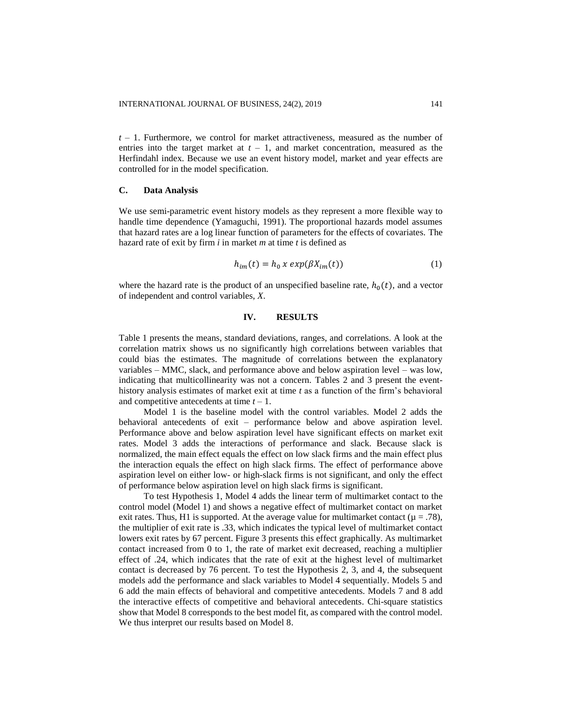*t* – 1. Furthermore, we control for market attractiveness, measured as the number of entries into the target market at  $t - 1$ , and market concentration, measured as the Herfindahl index. Because we use an event history model, market and year effects are controlled for in the model specification.

# **C. Data Analysis**

We use semi-parametric event history models as they represent a more flexible way to handle time dependence (Yamaguchi, 1991). The proportional hazards model assumes that hazard rates are a log linear function of parameters for the effects of covariates. The hazard rate of exit by firm *i* in market *m* at time *t* is defined as

$$
h_{im}(t) = h_0 x \exp(\beta X_{im}(t))
$$
 (1)

where the hazard rate is the product of an unspecified baseline rate,  $h_0(t)$ , and a vector of independent and control variables, *X*.

# **IV. RESULTS**

Table 1 presents the means, standard deviations, ranges, and correlations. A look at the correlation matrix shows us no significantly high correlations between variables that could bias the estimates. The magnitude of correlations between the explanatory variables – MMC, slack, and performance above and below aspiration level – was low, indicating that multicollinearity was not a concern. Tables 2 and 3 present the eventhistory analysis estimates of market exit at time *t* as a function of the firm's behavioral and competitive antecedents at time *t* – 1.

Model 1 is the baseline model with the control variables. Model 2 adds the behavioral antecedents of exit – performance below and above aspiration level. Performance above and below aspiration level have significant effects on market exit rates. Model 3 adds the interactions of performance and slack. Because slack is normalized, the main effect equals the effect on low slack firms and the main effect plus the interaction equals the effect on high slack firms. The effect of performance above aspiration level on either low- or high-slack firms is not significant, and only the effect of performance below aspiration level on high slack firms is significant.

To test Hypothesis 1, Model 4 adds the linear term of multimarket contact to the control model (Model 1) and shows a negative effect of multimarket contact on market exit rates. Thus, H1 is supported. At the average value for multimarket contact ( $\mu = .78$ ), the multiplier of exit rate is .33, which indicates the typical level of multimarket contact lowers exit rates by 67 percent. Figure 3 presents this effect graphically. As multimarket contact increased from 0 to 1, the rate of market exit decreased, reaching a multiplier effect of .24, which indicates that the rate of exit at the highest level of multimarket contact is decreased by 76 percent. To test the Hypothesis 2, 3, and 4, the subsequent models add the performance and slack variables to Model 4 sequentially. Models 5 and 6 add the main effects of behavioral and competitive antecedents. Models 7 and 8 add the interactive effects of competitive and behavioral antecedents. Chi-square statistics show that Model 8 corresponds to the best model fit, as compared with the control model. We thus interpret our results based on Model 8.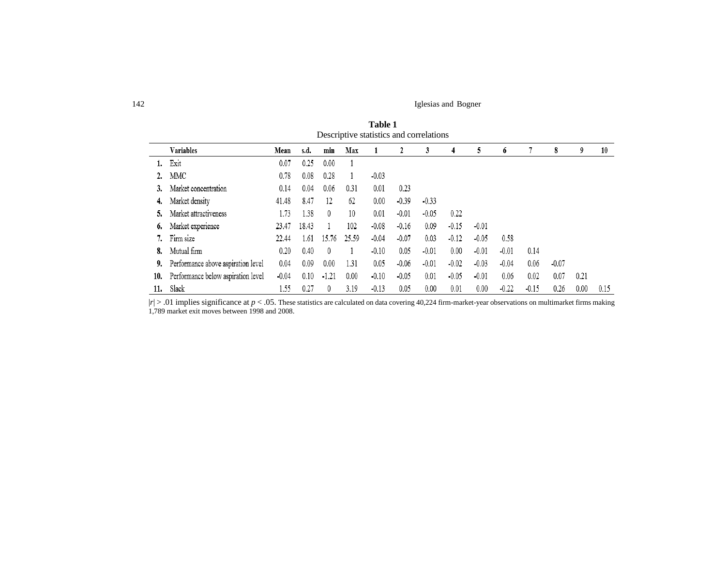142 Iglesias and Bogner

|     |                                    |         |       |         |       | Descriptive statistics and correlations |         |         |         |         |         |         |         |      |      |
|-----|------------------------------------|---------|-------|---------|-------|-----------------------------------------|---------|---------|---------|---------|---------|---------|---------|------|------|
|     | Variables                          | Mean    | s.d.  | min     | Max   |                                         |         |         |         |         | 0       |         | 8       | 9    | 10   |
|     | Exit                               | 0.07    | 0.25  | 0.00    |       |                                         |         |         |         |         |         |         |         |      |      |
|     | MMC                                | 0.78    | 0.08  | 0.28    |       | $-0.03$                                 |         |         |         |         |         |         |         |      |      |
|     | Market concentration               | 0.14    | 0.04  | 0.06    | 0.31  | 0.01                                    | 0.23    |         |         |         |         |         |         |      |      |
| 4.  | Market density                     | 41.48   | 8.47  | 12      | 62    | 0.00                                    | $-0.39$ | $-0.33$ |         |         |         |         |         |      |      |
|     | Market attractiveness              | 1.73    | 1.38  | $^{0}$  | 10    | 0.01                                    | $-0.01$ | $-0.05$ | 0.22    |         |         |         |         |      |      |
| 6.  | Market experience                  | 23.47   | 18.43 |         | 102   | $-0.08$                                 | $-0.16$ | 0.09    | $-0.15$ | $-0.01$ |         |         |         |      |      |
|     | Firm size                          | 22.44   | 1.61  | 15.76   | 25.59 | $-0.04$                                 | $-0.07$ | 0.03    | $-0.12$ | $-0.05$ | 0.58    |         |         |      |      |
| 8.  | Mutual firm                        | 0.20    | 0.40  | $^{0}$  |       | $-0.10$                                 | 0.05    | $-0.01$ | 0.00    | $-0.01$ | $-0.01$ | 0.14    |         |      |      |
| 9.  | Performance above aspiration level | 0.04    | 0.09  | 0.00    | 1.31  | 0.05                                    | $-0.06$ | $-0.01$ | $-0.02$ | $-0.03$ | $-0.04$ | 0.06    | $-0.07$ |      |      |
| 10. | Performance below aspiration level | $-0.04$ | 0.10  | $-1.21$ | 0.00  | $-0.10$                                 | $-0.05$ | 0.01    | $-0.05$ | $-0.01$ | 0.06    | 0.02    | 0.07    | 0.21 |      |
| 11. | Slack                              | 1.55    | 0.27  | $^{0}$  | 3.19  | $-0.13$                                 | 0.05    | 0.00    | 0.01    | 0.00    | $-0.22$ | $-0.15$ | 0.26    | 0.00 | 0.15 |

**Table 1** Descriptive statistics and correlations

 $|r| > .01$  implies significance at  $p < .05$ . These statistics are calculated on data covering 40,224 firm-market-year observations on multimarket firms making 1,789 market exit moves between 1998 and 2008.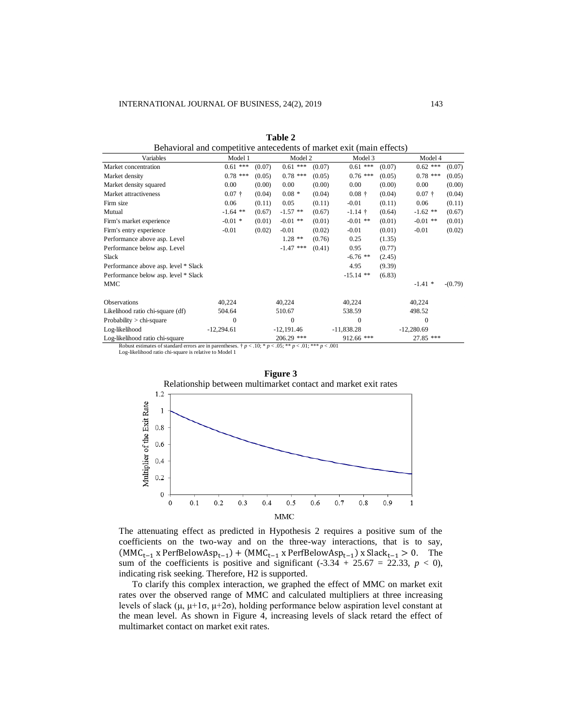| Behavioral and competitive antecedents of market exit (main effects)                                                       |              |        |              |        |              |        |              |           |
|----------------------------------------------------------------------------------------------------------------------------|--------------|--------|--------------|--------|--------------|--------|--------------|-----------|
| Variables                                                                                                                  | Model 1      |        | Model 2      |        | Model 3      |        | Model 4      |           |
| Market concentration                                                                                                       | $0.61$ ***   | (0.07) | $0.61$ ***   | (0.07) | $0.61$ ***   | (0.07) | $0.62$ ***   | (0.07)    |
| Market density                                                                                                             | $0.78$ ***   | (0.05) | $0.78$ ***   | (0.05) | $0.76$ ***   | (0.05) | $0.78$ ***   | (0.05)    |
| Market density squared                                                                                                     | 0.00         | (0.00) | $0.00\,$     | (0.00) | 0.00         | (0.00) | 0.00         | (0.00)    |
| Market attractiveness                                                                                                      | $0.07 +$     | (0.04) | $0.08 *$     | (0.04) | $0.08 +$     | (0.04) | $0.07 +$     | (0.04)    |
| Firm size                                                                                                                  | 0.06         | (0.11) | 0.05         | (0.11) | $-0.01$      | (0.11) | 0.06         | (0.11)    |
| Mutual                                                                                                                     | $-1.64$ **   | (0.67) | $-1.57$ **   | (0.67) | $-1.14$ †    | (0.64) | $-1.62$ **   | (0.67)    |
| Firm's market experience                                                                                                   | $-0.01$ *    | (0.01) | $-0.01$ **   | (0.01) | $-0.01$ **   | (0.01) | $-0.01$ **   | (0.01)    |
| Firm's entry experience                                                                                                    | $-0.01$      | (0.02) | $-0.01$      | (0.02) | $-0.01$      | (0.01) | $-0.01$      | (0.02)    |
| Performance above asp. Level                                                                                               |              |        | $1.28$ **    | (0.76) | 0.25         | (1.35) |              |           |
| Performance below asp. Level                                                                                               |              |        | $-1.47$ ***  | (0.41) | 0.95         | (0.77) |              |           |
| <b>Slack</b>                                                                                                               |              |        |              |        | $-6.76$ **   | (2.45) |              |           |
| Performance above asp. level * Slack                                                                                       |              |        |              |        | 4.95         | (9.39) |              |           |
| Performance below asp. level * Slack                                                                                       |              |        |              |        | $-15.14$ **  | (6.83) |              |           |
| MMC                                                                                                                        |              |        |              |        |              |        | $-1.41$ *    | $-(0.79)$ |
| <b>Observations</b>                                                                                                        | 40,224       |        | 40,224       |        | 40,224       |        | 40,224       |           |
| Likelihood ratio chi-square (df)                                                                                           | 504.64       |        | 510.67       |        | 538.59       |        | 498.52       |           |
| Probability $>$ chi-square                                                                                                 | $\mathbf{0}$ |        | $\mathbf{0}$ |        | 0            |        | $\Omega$     |           |
| Log-likelihood                                                                                                             | $-12,294.61$ |        | $-12,191.46$ |        | $-11,838.28$ |        | $-12,280.69$ |           |
| Log-likelihood ratio chi-square                                                                                            |              |        | 206.29 ***   |        | $912.66$ *** |        | 27.85 ***    |           |
| Robust estimates of standard errors are in parantheses $\pm n \ge 10$ ; $\pm n \ge 05$ ; $\pm \infty$ 01; $\pm \infty$ 001 |              |        |              |        |              |        |              |           |

**Table 2**

Robust estimates of standard errors are in parentheses.  $\dagger p < .10$ ; \*  $p < .05$ ; \* \*  $p < .01$ ; \* \* \*  $p < .001$ <br>Log-likelihood ratio chi-square is relative to Model 1



The attenuating effect as predicted in Hypothesis 2 requires a positive sum of the coefficients on the two-way and on the three-way interactions, that is to say,  $(MMC_{t-1} \times PerfBelowAsp_{t-1}) + (MMC_{t-1} \times PerfBelowAsp_{t-1}) \times Slack_{t-1} > 0.$  The sum of the coefficients is positive and significant  $(-3.34 + 25.67 = 22.33, p < 0)$ , indicating risk seeking. Therefore, H2 is supported.

To clarify this complex interaction, we graphed the effect of MMC on market exit rates over the observed range of MMC and calculated multipliers at three increasing levels of slack (μ, μ+1σ, μ+2σ), holding performance below aspiration level constant at the mean level. As shown in Figure 4, increasing levels of slack retard the effect of multimarket contact on market exit rates.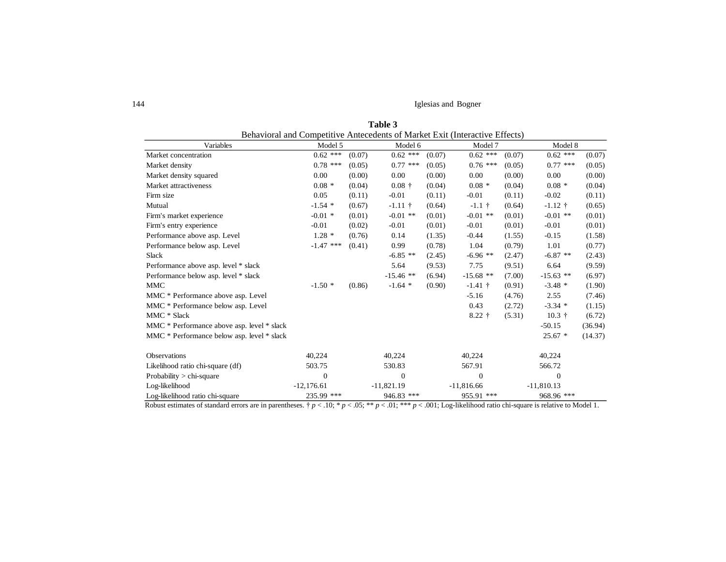144 Iglesias and Bogner

|                                            | Behavioral and Competitive Antecedents of Market Exit (Interactive Effects) |        |              |        |              |        |              |         |  |
|--------------------------------------------|-----------------------------------------------------------------------------|--------|--------------|--------|--------------|--------|--------------|---------|--|
| Variables                                  | Model 5                                                                     |        | Model 6      |        | Model 7      |        | Model 8      |         |  |
| Market concentration                       | $0.62$ ***                                                                  | (0.07) | $0.62$ ***   | (0.07) | $0.62$ ***   | (0.07) | $0.62$ ***   | (0.07)  |  |
| Market density                             | $0.78$ ***                                                                  | (0.05) | $0.77$ ***   | (0.05) | $0.76$ ***   | (0.05) | $0.77$ ***   | (0.05)  |  |
| Market density squared                     | 0.00                                                                        | (0.00) | 0.00         | (0.00) | 0.00         | (0.00) | 0.00         | (0.00)  |  |
| Market attractiveness                      | $0.08*$                                                                     | (0.04) | $0.08 +$     | (0.04) | $0.08 *$     | (0.04) | $0.08*$      | (0.04)  |  |
| Firm size                                  | 0.05                                                                        | (0.11) | $-0.01$      | (0.11) | $-0.01$      | (0.11) | $-0.02$      | (0.11)  |  |
| Mutual                                     | $-1.54$ *                                                                   | (0.67) | $-1.11 +$    | (0.64) | $-1.1$ †     | (0.64) | $-1.12$ †    | (0.65)  |  |
| Firm's market experience                   | $-0.01$ *                                                                   | (0.01) | $-0.01$ **   | (0.01) | $-0.01$ **   | (0.01) | $-0.01$ **   | (0.01)  |  |
| Firm's entry experience                    | $-0.01$                                                                     | (0.02) | $-0.01$      | (0.01) | $-0.01$      | (0.01) | $-0.01$      | (0.01)  |  |
| Performance above asp. Level               | $1.28*$                                                                     | (0.76) | 0.14         | (1.35) | $-0.44$      | (1.55) | $-0.15$      | (1.58)  |  |
| Performance below asp. Level               | $-1.47$ ***                                                                 | (0.41) | 0.99         | (0.78) | 1.04         | (0.79) | 1.01         | (0.77)  |  |
| Slack                                      |                                                                             |        | $-6.85$ **   | (2.45) | $-6.96$ **   | (2.47) | $-6.87**$    | (2.43)  |  |
| Performance above asp. level * slack       |                                                                             |        | 5.64         | (9.53) | 7.75         | (9.51) | 6.64         | (9.59)  |  |
| Performance below asp. level * slack       |                                                                             |        | $-15.46$ **  | (6.94) | $-15.68$ **  | (7.00) | $-15.63$ **  | (6.97)  |  |
| <b>MMC</b>                                 | $-1.50*$                                                                    | (0.86) | $-1.64$ *    | (0.90) | $-1.41$ †    | (0.91) | $-3.48*$     | (1.90)  |  |
| MMC * Performance above asp. Level         |                                                                             |        |              |        | $-5.16$      | (4.76) | 2.55         | (7.46)  |  |
| MMC * Performance below asp. Level         |                                                                             |        |              |        | 0.43         | (2.72) | $-3.34$ *    | (1.15)  |  |
| MMC * Slack                                |                                                                             |        |              |        | $8.22 +$     | (5.31) | $10.3 +$     | (6.72)  |  |
| MMC * Performance above asp. level * slack |                                                                             |        |              |        |              |        | $-50.15$     | (36.94) |  |
| MMC * Performance below asp. level * slack |                                                                             |        |              |        |              |        | $25.67*$     | (14.37) |  |
| Observations                               | 40,224                                                                      |        | 40,224       |        | 40,224       |        | 40,224       |         |  |
| Likelihood ratio chi-square (df)           | 503.75                                                                      |        | 530.83       |        | 567.91       |        | 566.72       |         |  |
| Probability $>$ chi-square                 | $\overline{0}$                                                              |        | $\theta$     |        | $\mathbf{0}$ |        | $\mathbf{0}$ |         |  |
| Log-likelihood                             | $-12,176.61$                                                                |        | $-11,821.19$ |        | $-11,816.66$ |        | $-11,810.13$ |         |  |
| Log-likelihood ratio chi-square            | 235.99 ***                                                                  |        | 946.83 ***   |        | 955.91 ***   |        | 968.96 ***   |         |  |

| Table 3                                                                     |
|-----------------------------------------------------------------------------|
| Behavioral and Competitive Antecedents of Market Exit (Interactive Effects) |

Robust estimates of standard errors are in parentheses.  $\dagger p < .10$ ; \*  $p < .05$ ; \*\* $p < .01$ ; \*\*\*  $p < .001$ ; Log-likelihood ratio chi-square is relative to Model 1.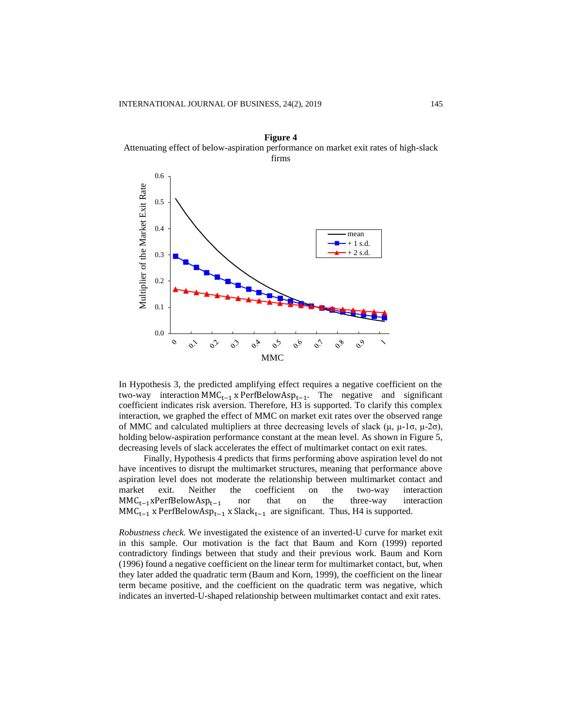

**Figure 4** Attenuating effect of below-aspiration performance on market exit rates of high-slack firms

In Hypothesis 3, the predicted amplifying effect requires a negative coefficient on the two-way interaction MMC<sub>t−1</sub> x PerfBelowAsp<sub>t−1</sub>. The negative and significant coefficient indicates risk aversion. Therefore, H3 is supported. To clarify this complex interaction, we graphed the effect of MMC on market exit rates over the observed range of MMC and calculated multipliers at three decreasing levels of slack (μ, μ-1σ, μ-2σ), holding below-aspiration performance constant at the mean level. As shown in Figure 5, decreasing levels of slack accelerates the effect of multimarket contact on exit rates.

Finally, Hypothesis 4 predicts that firms performing above aspiration level do not have incentives to disrupt the multimarket structures, meaning that performance above aspiration level does not moderate the relationship between multimarket contact and market exit. Neither the coefficient on the two-way interaction  $MMC_{t-1}xPerfBelowAsp_{t-1}$  nor that on the three-way interaction  $MMC_{t-1}$  x PerfBelowAsp<sub>t−1</sub> x Slack<sub>t−1</sub> are significant. Thus, H4 is supported.

*Robustness check.* We investigated the existence of an inverted-U curve for market exit in this sample. Our motivation is the fact that Baum and Korn (1999) reported contradictory findings between that study and their previous work. Baum and Korn (1996) found a negative coefficient on the linear term for multimarket contact, but, when they later added the quadratic term (Baum and Korn, 1999), the coefficient on the linear term became positive, and the coefficient on the quadratic term was negative, which indicates an inverted-U-shaped relationship between multimarket contact and exit rates.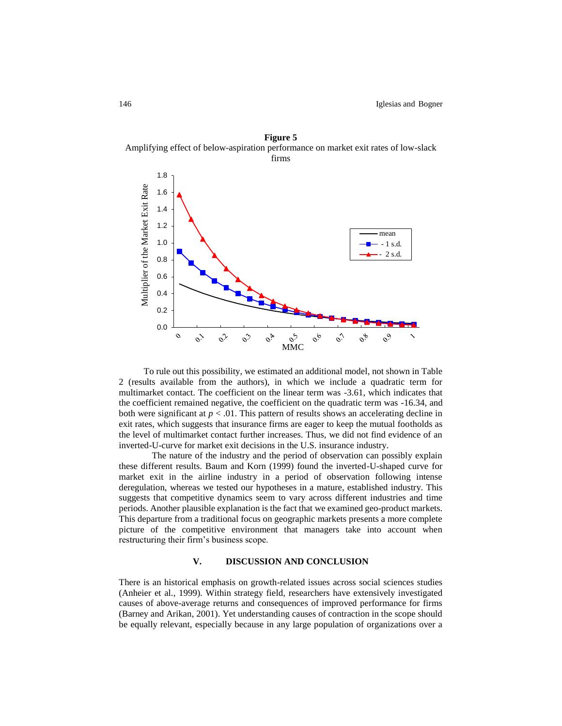**Figure 5** Amplifying effect of below-aspiration performance on market exit rates of low-slack



To rule out this possibility, we estimated an additional model, not shown in Table 2 (results available from the authors), in which we include a quadratic term for multimarket contact. The coefficient on the linear term was -3.61, which indicates that the coefficient remained negative, the coefficient on the quadratic term was -16.34, and both were significant at *p* < .01. This pattern of results shows an accelerating decline in exit rates, which suggests that insurance firms are eager to keep the mutual footholds as the level of multimarket contact further increases. Thus, we did not find evidence of an inverted-U-curve for market exit decisions in the U.S. insurance industry.

The nature of the industry and the period of observation can possibly explain these different results. Baum and Korn (1999) found the inverted-U-shaped curve for market exit in the airline industry in a period of observation following intense deregulation, whereas we tested our hypotheses in a mature, established industry. This suggests that competitive dynamics seem to vary across different industries and time periods. Another plausible explanation is the fact that we examined geo-product markets. This departure from a traditional focus on geographic markets presents a more complete picture of the competitive environment that managers take into account when restructuring their firm's business scope.

# **V. DISCUSSION AND CONCLUSION**

There is an historical emphasis on growth-related issues across social sciences studies (Anheier et al., 1999). Within strategy field, researchers have extensively investigated causes of above-average returns and consequences of improved performance for firms (Barney and Arikan, 2001). Yet understanding causes of contraction in the scope should be equally relevant, especially because in any large population of organizations over a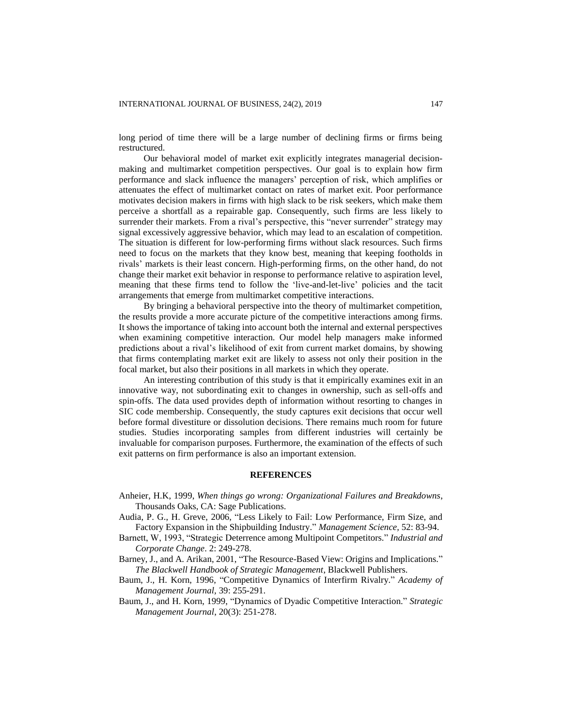long period of time there will be a large number of declining firms or firms being restructured.

Our behavioral model of market exit explicitly integrates managerial decisionmaking and multimarket competition perspectives. Our goal is to explain how firm performance and slack influence the managers' perception of risk, which amplifies or attenuates the effect of multimarket contact on rates of market exit. Poor performance motivates decision makers in firms with high slack to be risk seekers, which make them perceive a shortfall as a repairable gap. Consequently, such firms are less likely to surrender their markets. From a rival's perspective, this "never surrender" strategy may signal excessively aggressive behavior, which may lead to an escalation of competition. The situation is different for low-performing firms without slack resources. Such firms need to focus on the markets that they know best, meaning that keeping footholds in rivals' markets is their least concern. High-performing firms, on the other hand, do not change their market exit behavior in response to performance relative to aspiration level, meaning that these firms tend to follow the 'live-and-let-live' policies and the tacit arrangements that emerge from multimarket competitive interactions.

By bringing a behavioral perspective into the theory of multimarket competition, the results provide a more accurate picture of the competitive interactions among firms. It shows the importance of taking into account both the internal and external perspectives when examining competitive interaction. Our model help managers make informed predictions about a rival's likelihood of exit from current market domains, by showing that firms contemplating market exit are likely to assess not only their position in the focal market, but also their positions in all markets in which they operate.

An interesting contribution of this study is that it empirically examines exit in an innovative way, not subordinating exit to changes in ownership, such as sell-offs and spin-offs. The data used provides depth of information without resorting to changes in SIC code membership. Consequently, the study captures exit decisions that occur well before formal divestiture or dissolution decisions. There remains much room for future studies. Studies incorporating samples from different industries will certainly be invaluable for comparison purposes. Furthermore, the examination of the effects of such exit patterns on firm performance is also an important extension.

# **REFERENCES**

- Anheier, H.K, 1999, *When things go wrong: Organizational Failures and Breakdowns*, Thousands Oaks, CA: Sage Publications.
- Audia, P. G., H. Greve, 2006, "Less Likely to Fail: Low Performance, Firm Size, and Factory Expansion in the Shipbuilding Industry." *Management Science,* 52: 83-94.
- Barnett, W, 1993, "Strategic Deterrence among Multipoint Competitors." *Industrial and Corporate Change*. 2: 249-278.
- Barney, J., and A. Arikan, 2001, "The Resource-Based View: Origins and Implications." *The Blackwell Handbook of Strategic Management*, Blackwell Publishers.
- Baum, J., H. Korn, 1996, "Competitive Dynamics of Interfirm Rivalry." *Academy of Management Journal,* 39: 255-291.
- Baum, J., and H. Korn, 1999, "Dynamics of Dyadic Competitive Interaction." *Strategic Management Journal*, 20(3): 251-278.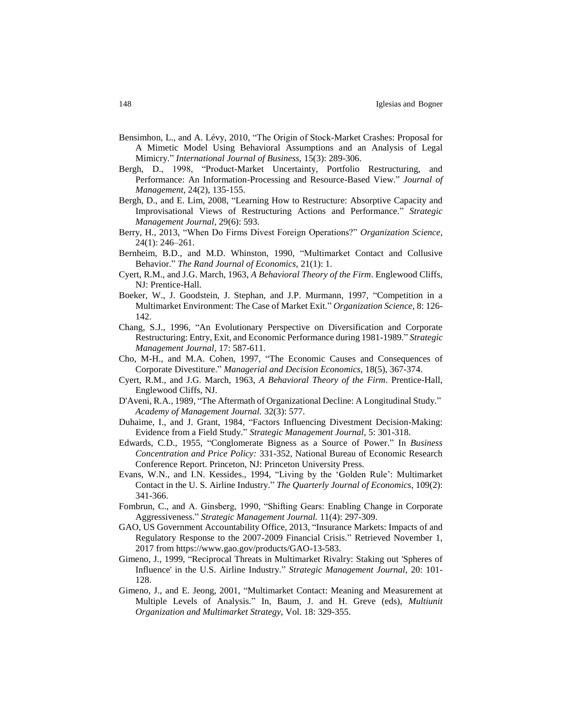- Bensimhon, L., and A. Lévy, 2010, "The Origin of Stock-Market Crashes: Proposal for A Mimetic Model Using Behavioral Assumptions and an Analysis of Legal Mimicry." *International Journal of Business,* 15(3): 289-306.
- Bergh, D., 1998, "Product-Market Uncertainty, Portfolio Restructuring, and Performance: An Information-Processing and Resource-Based View." *Journal of Management,* 24(2), 135-155.
- Bergh, D., and E. Lim, 2008, "Learning How to Restructure: Absorptive Capacity and Improvisational Views of Restructuring Actions and Performance." *Strategic Management Journal*, 29(6): 593.
- Berry, H., 2013, "When Do Firms Divest Foreign Operations?" *Organization Science,* 24(1): 246–261.
- Bernheim, B.D., and M.D. Whinston, 1990, "Multimarket Contact and Collusive Behavior." *The Rand Journal of Economics,* 21(1): 1.
- Cyert, R.M., and J.G. March, 1963, *A Behavioral Theory of the Firm*. Englewood Cliffs, NJ: Prentice-Hall.
- Boeker, W., J. Goodstein, J. Stephan, and J.P. Murmann, 1997, "Competition in a Multimarket Environment: The Case of Market Exit." *Organization Science*, 8: 126- 142.
- Chang, S.J., 1996, "An Evolutionary Perspective on Diversification and Corporate Restructuring: Entry, Exit, and Economic Performance during 1981-1989." *Strategic Management Journal*, 17: 587-611.
- Cho, M-H., and M.A. Cohen, 1997, "The Economic Causes and Consequences of Corporate Divestiture." *Managerial and Decision Economics,* 18(5), 367-374.
- Cyert, R.M., and J.G. March, 1963, *A Behavioral Theory of the Firm*. Prentice-Hall, Englewood Cliffs, NJ.
- D'Aveni, R.A., 1989, "The Aftermath of Organizational Decline: A Longitudinal Study." *Academy of Management Journal.* 32(3): 577.
- Duhaime, I., and J. Grant, 1984, "Factors Influencing Divestment Decision-Making: Evidence from a Field Study." *Strategic Management Journal*, 5: 301-318.
- Edwards, C.D., 1955, "Conglomerate Bigness as a Source of Power." In *Business Concentration and Price Policy:* 331-352, National Bureau of Economic Research Conference Report. Princeton, NJ: Princeton University Press.
- Evans, W.N., and I.N. Kessides., 1994, "Living by the 'Golden Rule': Multimarket Contact in the U. S. Airline Industry." *The Quarterly Journal of Economics*, 109(2): 341-366.
- Fombrun, C., and A. Ginsberg, 1990, "Shifting Gears: Enabling Change in Corporate Aggressiveness." *Strategic Management Journal.* 11(4): 297-309.
- GAO, US Government Accountability Office, 2013, "Insurance Markets: Impacts of and Regulatory Response to the 2007-2009 Financial Crisis." Retrieved November 1, 2017 from https://www.gao.gov/products/GAO-13-583.
- Gimeno, J., 1999, "Reciprocal Threats in Multimarket Rivalry: Staking out 'Spheres of Influence' in the U.S. Airline Industry." *Strategic Management Journal*, 20: 101- 128.
- Gimeno, J., and E. Jeong, 2001, "Multimarket Contact: Meaning and Measurement at Multiple Levels of Analysis." In, Baum, J. and H. Greve (eds), *Multiunit Organization and Multimarket Strategy,* Vol. 18: 329-355.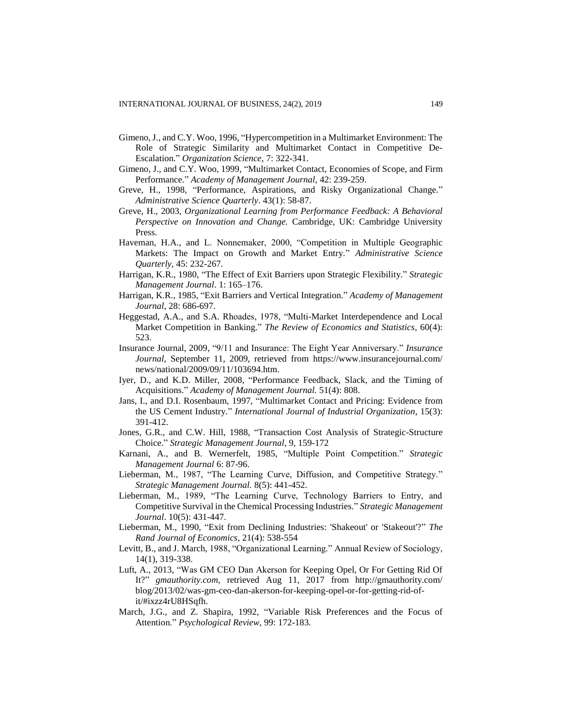- Gimeno, J., and C.Y. Woo, 1996, "Hypercompetition in a Multimarket Environment: The Role of Strategic Similarity and Multimarket Contact in Competitive De-Escalation." *Organization Science,* 7: 322-341.
- Gimeno, J., and C.Y. Woo, 1999, "Multimarket Contact, Economies of Scope, and Firm Performance." *Academy of Management Journal,* 42: 239-259.
- Greve, H., 1998, "Performance, Aspirations, and Risky Organizational Change." *Administrative Science Quarterly*. 43(1): 58-87.
- Greve, H., 2003, *Organizational Learning from Performance Feedback: A Behavioral Perspective on Innovation and Change.* Cambridge, UK: Cambridge University Press.
- Haveman, H.A., and L. Nonnemaker, 2000, "Competition in Multiple Geographic Markets: The Impact on Growth and Market Entry." *Administrative Science Quarterly*, 45: 232-267.
- Harrigan, K.R., 1980, "The Effect of Exit Barriers upon Strategic Flexibility." *Strategic Management Journal*. 1: 165–176.
- Harrigan, K.R., 1985, "Exit Barriers and Vertical Integration." *Academy of Management Journal*, 28: 686-697.
- Heggestad, A.A., and S.A. Rhoades, 1978, "Multi-Market Interdependence and Local Market Competition in Banking." *The Review of Economics and Statistics*, 60(4): 523.
- Insurance Journal, 2009, "9/11 and Insurance: The Eight Year Anniversary." *Insurance Journal*, September 11, 2009, retrieved from <https://www.insurancejournal.com/> news/national/2009/09/11/103694.htm.
- Iyer, D., and K.D. Miller, 2008, "Performance Feedback, Slack, and the Timing of Acquisitions." *Academy of Management Journal.* 51(4): 808.
- Jans, I., and D.I. Rosenbaum, 1997, "Multimarket Contact and Pricing: Evidence from the US Cement Industry." *International Journal of Industrial Organization*, 15(3): 391-412.
- Jones, G.R., and C.W. Hill, 1988, "Transaction Cost Analysis of Strategic-Structure Choice." *Strategic Management Journal*, 9, 159-172
- Karnani, A., and B. Wernerfelt, 1985, "Multiple Point Competition." *Strategic Management Journal* 6: 87-96.
- Lieberman, M., 1987, "The Learning Curve, Diffusion, and Competitive Strategy." *Strategic Management Journal.* 8(5): 441-452.
- Lieberman, M., 1989, "The Learning Curve, Technology Barriers to Entry, and Competitive Survival in the Chemical Processing Industries." *Strategic Management Journal*. 10(5): 431-447.
- Lieberman, M., 1990, "Exit from Declining Industries: 'Shakeout' or 'Stakeout'?" *The Rand Journal of Economics,* 21(4): 538-554
- Levitt, B., and J. March, 1988, "Organizational Learning." Annual Review of Sociology, 14(1), 319-338.
- Luft, A., 2013, "Was GM CEO Dan Akerson for Keeping Opel, Or For Getting Rid Of It?" *gmauthority.com,* retrieved Aug 11, 2017 from <http://gmauthority.com/> blog/2013/02/was-gm-ceo-dan-akerson-for-keeping-opel-or-for-getting-rid-ofit/#ixzz4rU8HSqfh.
- March, J.G., and Z. Shapira, 1992, "Variable Risk Preferences and the Focus of Attention." *Psychological Review,* 99: 172-183.